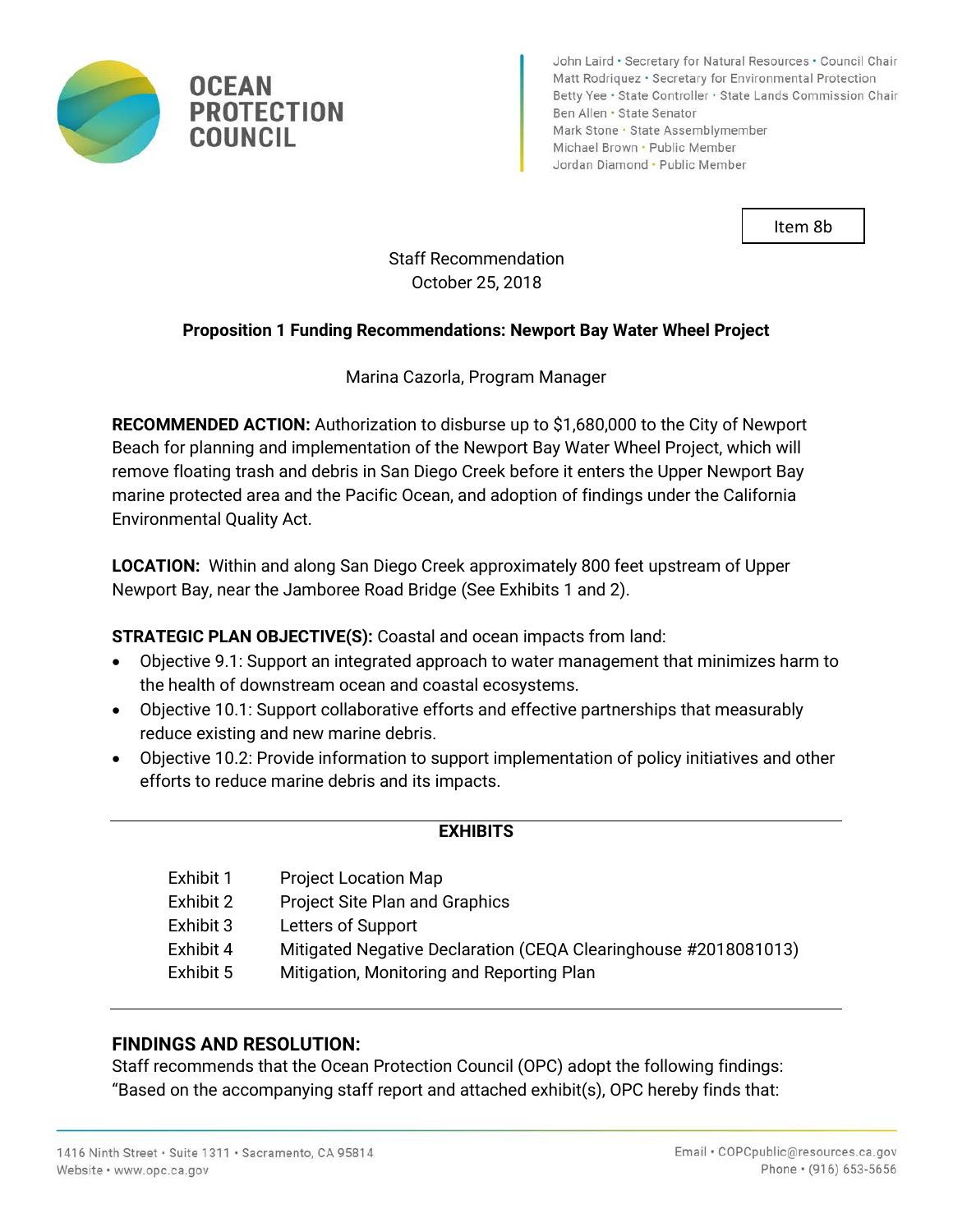

John Laird • Secretary for Natural Resources • Council Chair Matt Rodriquez · Secretary for Environmental Protection Betty Yee · State Controller · State Lands Commission Chair Ben Allen · State Senator Mark Stone · State Assemblymember Michael Brown . Public Member Jordan Diamond · Public Member

Item 8b

# Staff Recommendation October 25, 2018

### **Proposition 1 Funding Recommendations: Newport Bay Water Wheel Project**

Marina Cazorla, Program Manager

**RECOMMENDED ACTION:** Authorization to disburse up to \$1,680,000 to the City of Newport Beach for planning and implementation of the Newport Bay Water Wheel Project, which will remove floating trash and debris in San Diego Creek before it enters the Upper Newport Bay marine protected area and the Pacific Ocean, and adoption of findings under the California Environmental Quality Act.

**LOCATION:** Within and along San Diego Creek approximately 800 feet upstream of Upper Newport Bay, near the Jamboree Road Bridge (See Exhibits 1 and 2).

**STRATEGIC PLAN OBJECTIVE(S):** Coastal and ocean impacts from land:

- Objective 9.1: Support an integrated approach to water management that minimizes harm to the health of downstream ocean and coastal ecosystems.
- Objective 10.1: Support collaborative efforts and effective partnerships that measurably reduce existing and new marine debris.
- Objective 10.2: Provide information to support implementation of policy initiatives and other efforts to reduce marine debris and its impacts.

#### **EXHIBITS**

Exhibit 1 Project Location Map Exhibit 2 Project Site Plan and Graphics Exhibit 3 Letters of Support Exhibit 4 Mitigated Negative Declaration (CEQA Clearinghouse #2018081013) Exhibit 5 Mitigation, Monitoring and Reporting Plan

#### **FINDINGS AND RESOLUTION:**

Staff recommends that the Ocean Protection Council (OPC) adopt the following findings: "Based on the accompanying staff report and attached exhibit(s), OPC hereby finds that: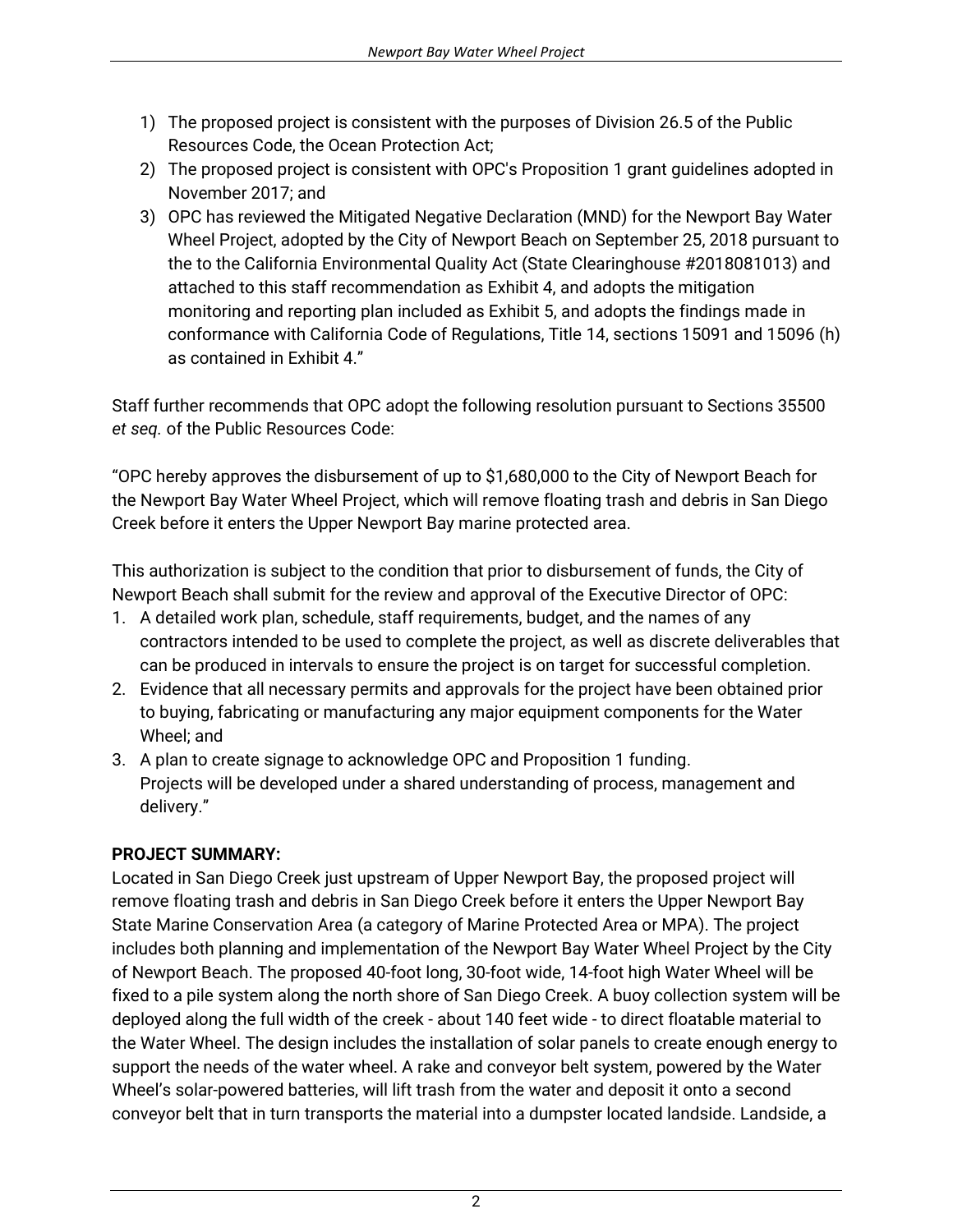- 1) The proposed project is consistent with the purposes of Division 26.5 of the Public Resources Code, the Ocean Protection Act;
- 2) The proposed project is consistent with OPC's Proposition 1 grant guidelines adopted in November 2017; and
- 3) OPC has reviewed the Mitigated Negative Declaration (MND) for the Newport Bay Water Wheel Project, adopted by the City of Newport Beach on September 25, 2018 pursuant to the to the California Environmental Quality Act (State Clearinghouse #2018081013) and attached to this staff recommendation as Exhibit 4, and adopts the mitigation monitoring and reporting plan included as Exhibit 5, and adopts the findings made in conformance with California Code of Regulations, Title 14, sections 15091 and 15096 (h) as contained in Exhibit 4."

Staff further recommends that OPC adopt the following resolution pursuant to Sections 35500 *et seq.* of the Public Resources Code:

"OPC hereby approves the disbursement of up to \$1,680,000 to the City of Newport Beach for the Newport Bay Water Wheel Project, which will remove floating trash and debris in San Diego Creek before it enters the Upper Newport Bay marine protected area.

This authorization is subject to the condition that prior to disbursement of funds, the City of Newport Beach shall submit for the review and approval of the Executive Director of OPC:

- 1. A detailed work plan, schedule, staff requirements, budget, and the names of any contractors intended to be used to complete the project, as well as discrete deliverables that can be produced in intervals to ensure the project is on target for successful completion.
- 2. Evidence that all necessary permits and approvals for the project have been obtained prior to buying, fabricating or manufacturing any major equipment components for the Water Wheel; and
- 3. A plan to create signage to acknowledge OPC and Proposition 1 funding. Projects will be developed under a shared understanding of process, management and delivery."

## **PROJECT SUMMARY:**

Located in San Diego Creek just upstream of Upper Newport Bay, the proposed project will remove floating trash and debris in San Diego Creek before it enters the Upper Newport Bay State Marine Conservation Area (a category of Marine Protected Area or MPA). The project includes both planning and implementation of the Newport Bay Water Wheel Project by the City of Newport Beach. The proposed 40-foot long, 30-foot wide, 14-foot high Water Wheel will be fixed to a pile system along the north shore of San Diego Creek. A buoy collection system will be deployed along the full width of the creek - about 140 feet wide - to direct floatable material to the Water Wheel. The design includes the installation of solar panels to create enough energy to support the needs of the water wheel. A rake and conveyor belt system, powered by the Water Wheel's solar-powered batteries, will lift trash from the water and deposit it onto a second conveyor belt that in turn transports the material into a dumpster located landside. Landside, a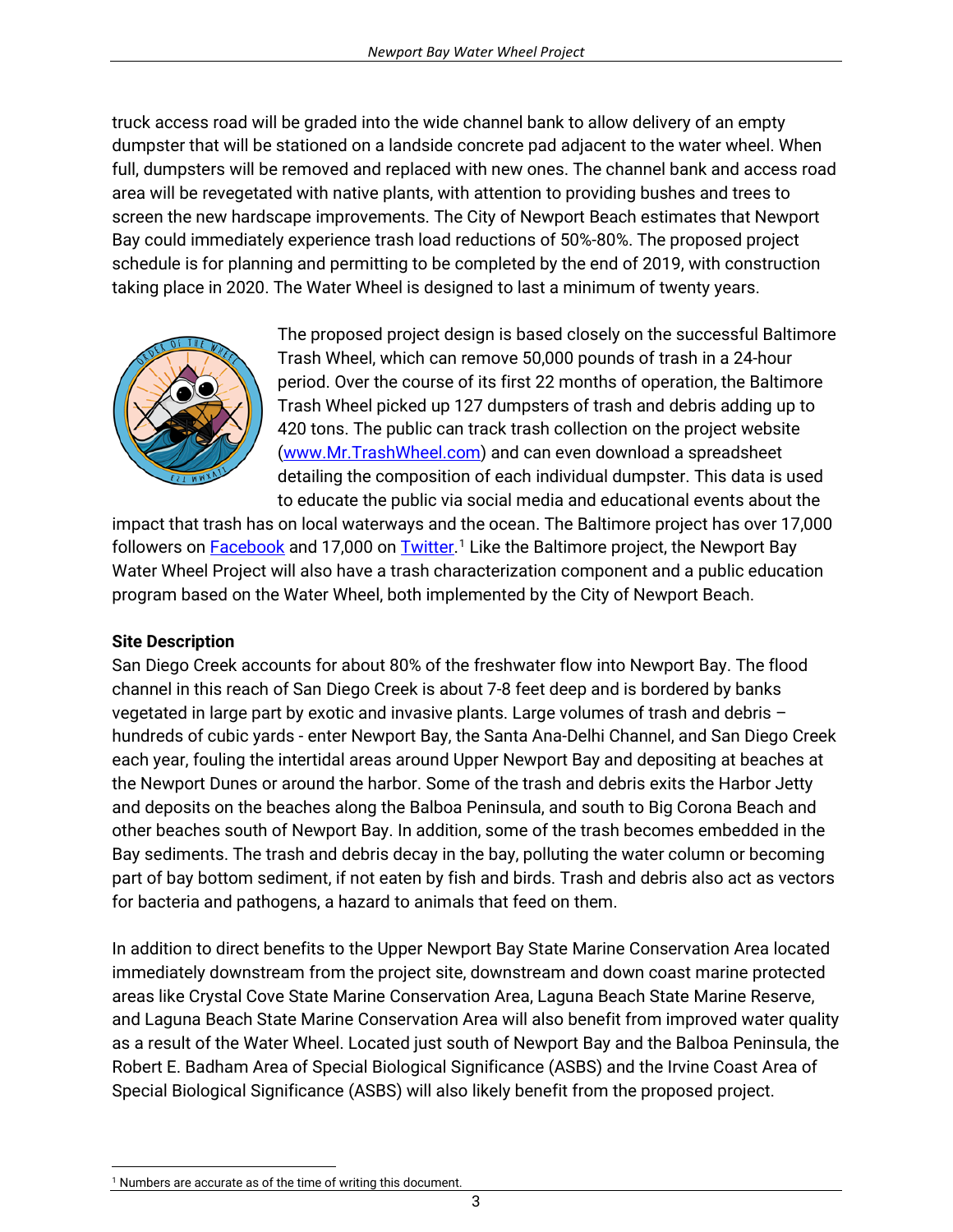truck access road will be graded into the wide channel bank to allow delivery of an empty dumpster that will be stationed on a landside concrete pad adjacent to the water wheel. When full, dumpsters will be removed and replaced with new ones. The channel bank and access road area will be revegetated with native plants, with attention to providing bushes and trees to screen the new hardscape improvements. The City of Newport Beach estimates that Newport Bay could immediately experience trash load reductions of 50%-80%. The proposed project schedule is for planning and permitting to be completed by the end of 2019, with construction taking place in 2020. The Water Wheel is designed to last a minimum of twenty years.



The proposed project design is based closely on the successful Baltimore Trash Wheel, which can remove 50,000 pounds of trash in a 24-hour period. Over the course of its first 22 months of operation, the Baltimore Trash Wheel picked up 127 dumpsters of trash and debris adding up to 420 tons. The public can track trash collection on the project website ([www.Mr.TrashWheel.com\)](http://www.mr.trashwheel.com) and can even download a spreadsheet detailing the composition of each individual dumpster. This data is used to educate the public via social media and educational events about the

impact that trash has on local waterways and the ocean. The Baltimore project has over 17,000 followers on <u>Facebook</u> and 17,000 on <u>Twitter</u>.<sup>1</sup> Like the Baltimore project, the Newport Bay Water Wheel Project will also have a trash characterization component and a public education program based on the Water Wheel, both implemented by the City of Newport Beach.

#### **Site Description**

San Diego Creek accounts for about 80% of the freshwater flow into Newport Bay. The flood channel in this reach of San Diego Creek is about 7-8 feet deep and is bordered by banks vegetated in large part by exotic and invasive plants. Large volumes of trash and debris – hundreds of cubic yards - enter Newport Bay, the Santa Ana-Delhi Channel, and San Diego Creek each year, fouling the intertidal areas around Upper Newport Bay and depositing at beaches at the Newport Dunes or around the harbor. Some of the trash and debris exits the Harbor Jetty and deposits on the beaches along the Balboa Peninsula, and south to Big Corona Beach and other beaches south of Newport Bay. In addition, some of the trash becomes embedded in the Bay sediments. The trash and debris decay in the bay, polluting the water column or becoming part of bay bottom sediment, if not eaten by fish and birds. Trash and debris also act as vectors for bacteria and pathogens, a hazard to animals that feed on them.

In addition to direct benefits to the Upper Newport Bay State Marine Conservation Area located immediately downstream from the project site, downstream and down coast marine protected areas like Crystal Cove State Marine Conservation Area, Laguna Beach State Marine Reserve, and Laguna Beach State Marine Conservation Area will also benefit from improved water quality as a result of the Water Wheel. Located just south of Newport Bay and the Balboa Peninsula, the Robert E. Badham Area of Special Biological Significance (ASBS) and the Irvine Coast Area of Special Biological Significance (ASBS) will also likely benefit from the proposed project.

<sup>&</sup>lt;sup>1</sup> Numbers are accurate as of the time of writing this document.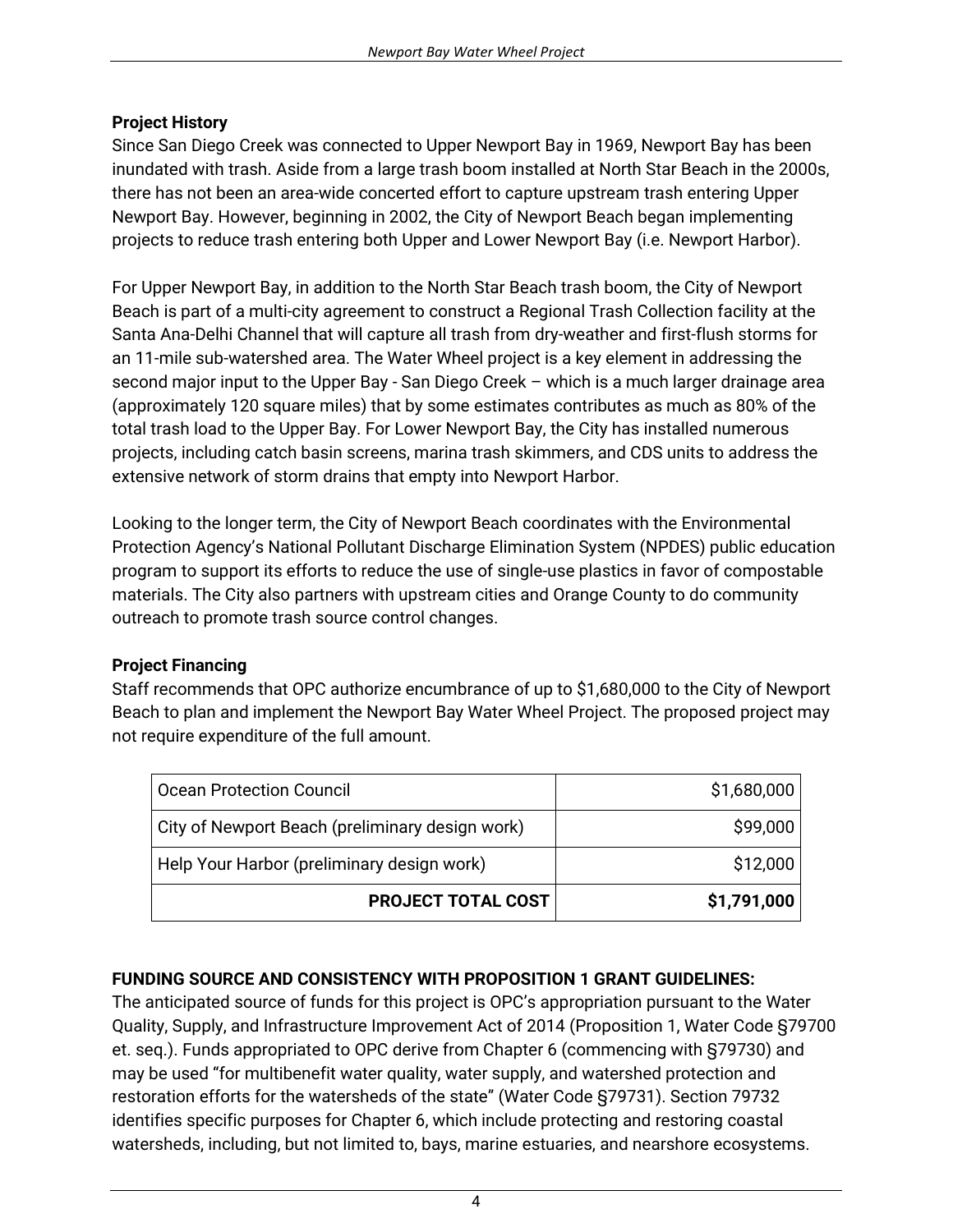#### **Project History**

Since San Diego Creek was connected to Upper Newport Bay in 1969, Newport Bay has been inundated with trash. Aside from a large trash boom installed at North Star Beach in the 2000s, there has not been an area-wide concerted effort to capture upstream trash entering Upper Newport Bay. However, beginning in 2002, the City of Newport Beach began implementing projects to reduce trash entering both Upper and Lower Newport Bay (i.e. Newport Harbor).

For Upper Newport Bay, in addition to the North Star Beach trash boom, the City of Newport Beach is part of a multi-city agreement to construct a Regional Trash Collection facility at the Santa Ana-Delhi Channel that will capture all trash from dry-weather and first-flush storms for an 11-mile sub-watershed area. The Water Wheel project is a key element in addressing the second major input to the Upper Bay - San Diego Creek – which is a much larger drainage area (approximately 120 square miles) that by some estimates contributes as much as 80% of the total trash load to the Upper Bay. For Lower Newport Bay, the City has installed numerous projects, including catch basin screens, marina trash skimmers, and CDS units to address the extensive network of storm drains that empty into Newport Harbor.

Looking to the longer term, the City of Newport Beach coordinates with the Environmental Protection Agency's National Pollutant Discharge Elimination System (NPDES) public education program to support its efforts to reduce the use of single-use plastics in favor of compostable materials. The City also partners with upstream cities and Orange County to do community outreach to promote trash source control changes.

## **Project Financing**

Staff recommends that OPC authorize encumbrance of up to \$1,680,000 to the City of Newport Beach to plan and implement the Newport Bay Water Wheel Project. The proposed project may not require expenditure of the full amount.

| Ocean Protection Council                        | \$1,680,000 |
|-------------------------------------------------|-------------|
| City of Newport Beach (preliminary design work) | \$99,000    |
| Help Your Harbor (preliminary design work)      | \$12,000    |
| PROJECT TOTAL COST                              | \$1,791,000 |

## **FUNDING SOURCE AND CONSISTENCY WITH PROPOSITION 1 GRANT GUIDELINES:**

The anticipated source of funds for this project is OPC's appropriation pursuant to the Water Quality, Supply, and Infrastructure Improvement Act of 2014 (Proposition 1, Water Code §79700 et. seq.). Funds appropriated to OPC derive from Chapter 6 (commencing with §79730) and may be used "for multibenefit water quality, water supply, and watershed protection and restoration efforts for the watersheds of the state" (Water Code §79731). Section 79732 identifies specific purposes for Chapter 6, which include protecting and restoring coastal watersheds, including, but not limited to, bays, marine estuaries, and nearshore ecosystems.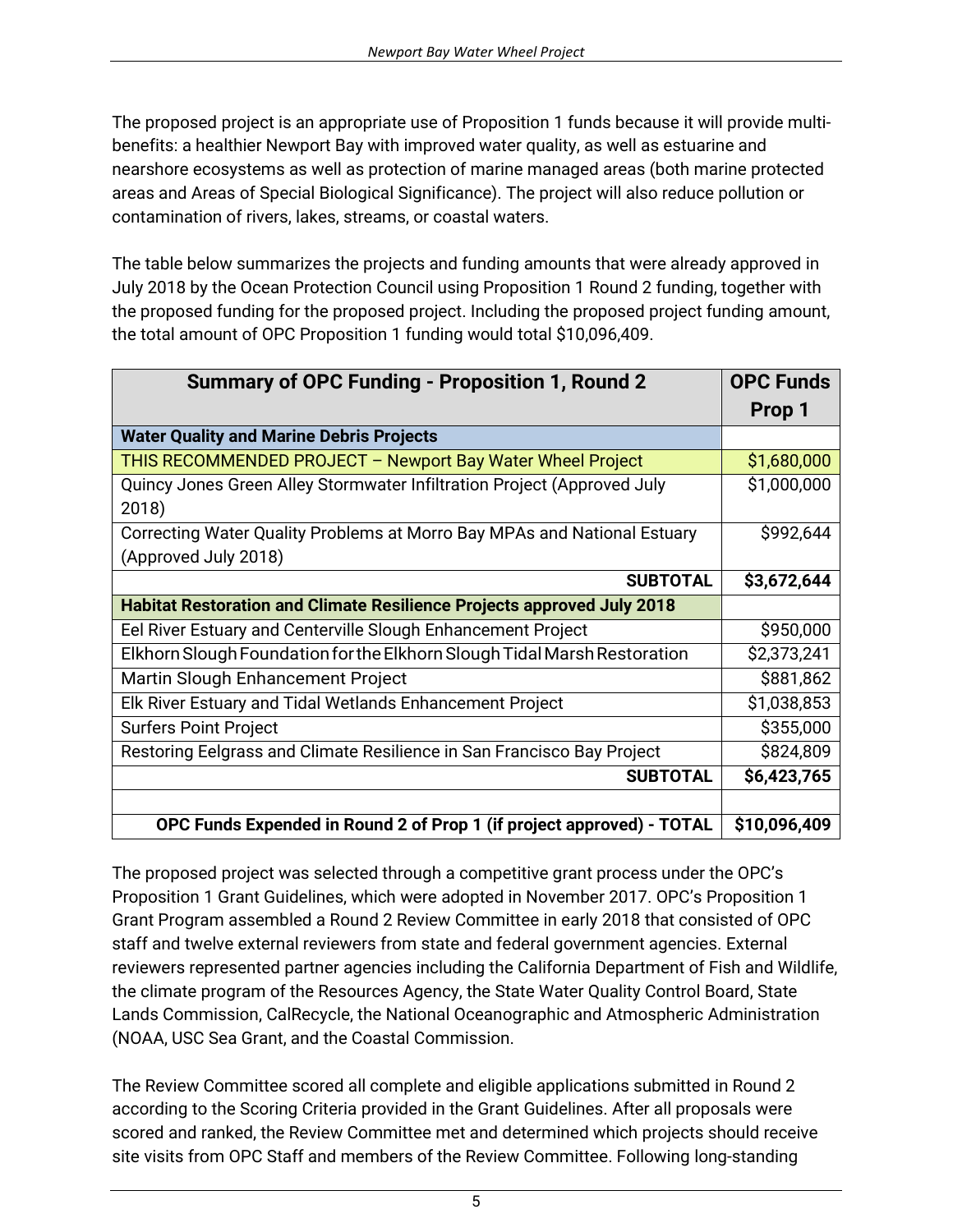The proposed project is an appropriate use of Proposition 1 funds because it will provide multibenefits: a healthier Newport Bay with improved water quality, as well as estuarine and nearshore ecosystems as well as protection of marine managed areas (both marine protected areas and Areas of Special Biological Significance). The project will also reduce pollution or contamination of rivers, lakes, streams, or coastal waters.

The table below summarizes the projects and funding amounts that were already approved in July 2018 by the Ocean Protection Council using Proposition 1 Round 2 funding, together with the proposed funding for the proposed project. Including the proposed project funding amount, the total amount of OPC Proposition 1 funding would total \$10,096,409.

| <b>Summary of OPC Funding - Proposition 1, Round 2</b>                        | <b>OPC Funds</b> |
|-------------------------------------------------------------------------------|------------------|
|                                                                               | Prop 1           |
| <b>Water Quality and Marine Debris Projects</b>                               |                  |
| THIS RECOMMENDED PROJECT - Newport Bay Water Wheel Project                    | \$1,680,000      |
| Quincy Jones Green Alley Stormwater Infiltration Project (Approved July       | \$1,000,000      |
| 2018)                                                                         |                  |
| Correcting Water Quality Problems at Morro Bay MPAs and National Estuary      | \$992,644        |
| (Approved July 2018)                                                          |                  |
| <b>SUBTOTAL</b>                                                               | \$3,672,644      |
| <b>Habitat Restoration and Climate Resilience Projects approved July 2018</b> |                  |
| Eel River Estuary and Centerville Slough Enhancement Project                  | \$950,000        |
| Elkhorn Slough Foundation for the Elkhorn Slough Tidal Marsh Restoration      | \$2,373,241      |
| Martin Slough Enhancement Project                                             | \$881,862        |
| Elk River Estuary and Tidal Wetlands Enhancement Project                      | \$1,038,853      |
| <b>Surfers Point Project</b>                                                  | \$355,000        |
| Restoring Eelgrass and Climate Resilience in San Francisco Bay Project        | \$824,809        |
| <b>SUBTOTAL</b>                                                               | \$6,423,765      |
|                                                                               |                  |
| OPC Funds Expended in Round 2 of Prop 1 (if project approved) - TOTAL         | \$10,096,409     |

The proposed project was selected through a competitive grant process under the OPC's Proposition 1 Grant Guidelines, which were adopted in November 2017. OPC's Proposition 1 Grant Program assembled a Round 2 Review Committee in early 2018 that consisted of OPC staff and twelve external reviewers from state and federal government agencies. External reviewers represented partner agencies including the California Department of Fish and Wildlife, the climate program of the Resources Agency, the State Water Quality Control Board, State Lands Commission, CalRecycle, the National Oceanographic and Atmospheric Administration (NOAA, USC Sea Grant, and the Coastal Commission.

The Review Committee scored all complete and eligible applications submitted in Round 2 according to the Scoring Criteria provided in the Grant Guidelines. After all proposals were scored and ranked, the Review Committee met and determined which projects should receive site visits from OPC Staff and members of the Review Committee. Following long-standing